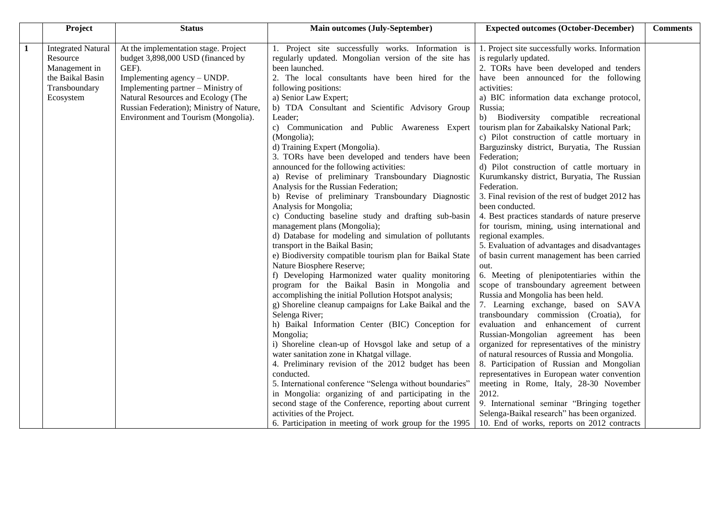|   | Project                               | <b>Status</b>                                                             | <b>Main outcomes (July-September)</b>                    | <b>Expected outcomes (October-December)</b>                              | <b>Comments</b> |
|---|---------------------------------------|---------------------------------------------------------------------------|----------------------------------------------------------|--------------------------------------------------------------------------|-----------------|
|   |                                       |                                                                           | 1. Project site successfully works. Information is       |                                                                          |                 |
| 1 | <b>Integrated Natural</b><br>Resource | At the implementation stage. Project<br>budget 3,898,000 USD (financed by | regularly updated. Mongolian version of the site has     | 1. Project site successfully works. Information<br>is regularly updated. |                 |
|   | Management in                         | GEF).                                                                     | been launched.                                           | 2. TORs have been developed and tenders                                  |                 |
|   | the Baikal Basin                      | Implementing agency – UNDP.                                               | 2. The local consultants have been hired for the         | have been announced for the following                                    |                 |
|   | Transboundary                         | Implementing partner – Ministry of                                        | following positions:                                     | activities:                                                              |                 |
|   | Ecosystem                             | Natural Resources and Ecology (The                                        | a) Senior Law Expert;                                    | a) BIC information data exchange protocol,                               |                 |
|   |                                       | Russian Federation); Ministry of Nature,                                  | b) TDA Consultant and Scientific Advisory Group          | Russia;                                                                  |                 |
|   |                                       | Environment and Tourism (Mongolia).                                       | Leader;                                                  | b) Biodiversity compatible recreational                                  |                 |
|   |                                       |                                                                           | c) Communication and Public Awareness Expert             | tourism plan for Zabaikalsky National Park;                              |                 |
|   |                                       |                                                                           | (Mongolia);                                              | c) Pilot construction of cattle mortuary in                              |                 |
|   |                                       |                                                                           | d) Training Expert (Mongolia).                           | Barguzinsky district, Buryatia, The Russian                              |                 |
|   |                                       |                                                                           | 3. TORs have been developed and tenders have been        | Federation;                                                              |                 |
|   |                                       |                                                                           | announced for the following activities:                  | d) Pilot construction of cattle mortuary in                              |                 |
|   |                                       |                                                                           | a) Revise of preliminary Transboundary Diagnostic        | Kurumkansky district, Buryatia, The Russian                              |                 |
|   |                                       |                                                                           | Analysis for the Russian Federation;                     | Federation.                                                              |                 |
|   |                                       |                                                                           | b) Revise of preliminary Transboundary Diagnostic        | 3. Final revision of the rest of budget 2012 has                         |                 |
|   |                                       |                                                                           | Analysis for Mongolia;                                   | been conducted.                                                          |                 |
|   |                                       |                                                                           | c) Conducting baseline study and drafting sub-basin      | 4. Best practices standards of nature preserve                           |                 |
|   |                                       |                                                                           | management plans (Mongolia);                             | for tourism, mining, using international and                             |                 |
|   |                                       |                                                                           | d) Database for modeling and simulation of pollutants    | regional examples.                                                       |                 |
|   |                                       |                                                                           | transport in the Baikal Basin;                           | 5. Evaluation of advantages and disadvantages                            |                 |
|   |                                       |                                                                           | e) Biodiversity compatible tourism plan for Baikal State | of basin current management has been carried                             |                 |
|   |                                       |                                                                           | Nature Biosphere Reserve;                                | out.                                                                     |                 |
|   |                                       |                                                                           | f) Developing Harmonized water quality monitoring        | 6. Meeting of plenipotentiaries within the                               |                 |
|   |                                       |                                                                           | program for the Baikal Basin in Mongolia and             | scope of transboundary agreement between                                 |                 |
|   |                                       |                                                                           | accomplishing the initial Pollution Hotspot analysis;    | Russia and Mongolia has been held.                                       |                 |
|   |                                       |                                                                           | g) Shoreline cleanup campaigns for Lake Baikal and the   | 7. Learning exchange, based on SAVA                                      |                 |
|   |                                       |                                                                           | Selenga River;                                           | transboundary commission (Croatia), for                                  |                 |
|   |                                       |                                                                           | h) Baikal Information Center (BIC) Conception for        | evaluation and enhancement of current                                    |                 |
|   |                                       |                                                                           | Mongolia;                                                | Russian-Mongolian agreement has been                                     |                 |
|   |                                       |                                                                           | i) Shoreline clean-up of Hovsgol lake and setup of a     | organized for representatives of the ministry                            |                 |
|   |                                       |                                                                           | water sanitation zone in Khatgal village.                | of natural resources of Russia and Mongolia.                             |                 |
|   |                                       |                                                                           | 4. Preliminary revision of the 2012 budget has been      | 8. Participation of Russian and Mongolian                                |                 |
|   |                                       |                                                                           | conducted.                                               | representatives in European water convention                             |                 |
|   |                                       |                                                                           | 5. International conference "Selenga without boundaries" | meeting in Rome, Italy, 28-30 November                                   |                 |
|   |                                       |                                                                           | in Mongolia: organizing of and participating in the      | 2012.                                                                    |                 |
|   |                                       |                                                                           | second stage of the Conference, reporting about current  | 9. International seminar "Bringing together                              |                 |
|   |                                       |                                                                           | activities of the Project.                               | Selenga-Baikal research" has been organized.                             |                 |
|   |                                       |                                                                           | 6. Participation in meeting of work group for the 1995   | 10. End of works, reports on 2012 contracts                              |                 |